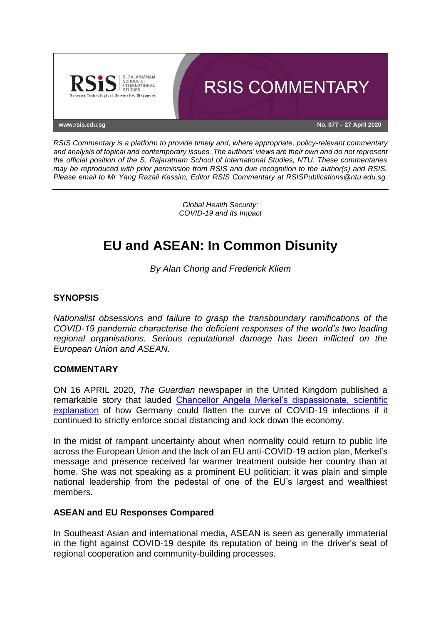

*RSIS Commentary is a platform to provide timely and, where appropriate, policy-relevant commentary and analysis of topical and contemporary issues. The authors' views are their own and do not represent the official position of the S. Rajaratnam School of International Studies, NTU. These commentaries may be reproduced with prior permission from RSIS and due recognition to the author(s) and RSIS. Please email to Mr Yang Razali Kassim, Editor RSIS Commentary at RSISPublications@ntu.edu.sg.*

> *Global Health Security: COVID-19 and Its Impact*

# **EU and ASEAN: In Common Disunity**

*By Alan Chong and Frederick Kliem*

## **SYNOPSIS**

*Nationalist obsessions and failure to grasp the transboundary ramifications of the COVID-19 pandemic characterise the deficient responses of the world's two leading regional organisations. Serious reputational damage has been inflicted on the European Union and ASEAN.*

#### **COMMENTARY**

ON 16 APRIL 2020, *The Guardian* newspaper in the United Kingdom published a remarkable story that lauded [Chancellor Angela Merkel's dispassionate, scientific](https://www.theguardian.com/world/2020/apr/16/angela-merkel-draws-on-science-background-in-covid-19-explainer-lockdown-exit)  [explanation](https://www.theguardian.com/world/2020/apr/16/angela-merkel-draws-on-science-background-in-covid-19-explainer-lockdown-exit) of how Germany could flatten the curve of COVID-19 infections if it continued to strictly enforce social distancing and lock down the economy.

In the midst of rampant uncertainty about when normality could return to public life across the European Union and the lack of an EU anti-COVID-19 action plan, Merkel's message and presence received far warmer treatment outside her country than at home. She was not speaking as a prominent EU politician; it was plain and simple national leadership from the pedestal of one of the EU's largest and wealthiest members.

#### **ASEAN and EU Responses Compared**

In Southeast Asian and international media, ASEAN is seen as generally immaterial in the fight against COVID-19 despite its reputation of being in the driver's seat of regional cooperation and community-building processes.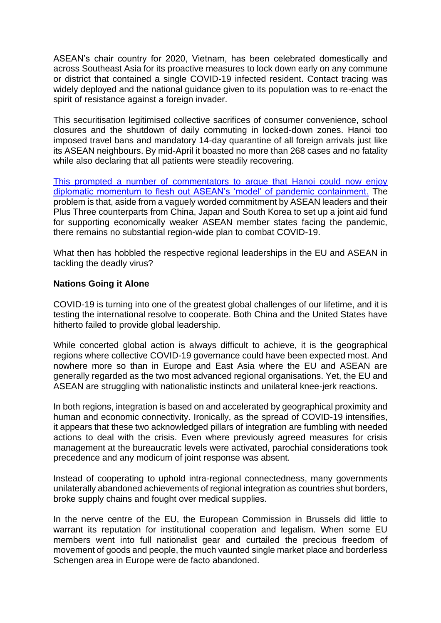ASEAN's chair country for 2020, Vietnam, has been celebrated domestically and across Southeast Asia for its proactive measures to lock down early on any commune or district that contained a single COVID-19 infected resident. Contact tracing was widely deployed and the national guidance given to its population was to re-enact the spirit of resistance against a foreign invader.

This securitisation legitimised collective sacrifices of consumer convenience, school closures and the shutdown of daily commuting in locked-down zones. Hanoi too imposed travel bans and mandatory 14-day quarantine of all foreign arrivals just like its ASEAN neighbours. By mid-April it boasted no more than 268 cases and no fatality while also declaring that all patients were steadily recovering.

[This prompted a number of commentators to argue that Hanoi could now enjoy](https://thediplomat.com/2020/04/the-secret-to-vietnams-covid-19-response-success/)  [diplomatic momentum to flesh out ASEAN's 'model' of pandemic containment.](https://thediplomat.com/2020/04/the-secret-to-vietnams-covid-19-response-success/) The problem is that, aside from a vaguely worded commitment by ASEAN leaders and their Plus Three counterparts from China, Japan and South Korea to set up a joint aid fund for supporting economically weaker ASEAN member states facing the pandemic, there remains no substantial region-wide plan to combat COVID-19.

What then has hobbled the respective regional leaderships in the EU and ASEAN in tackling the deadly virus?

## **Nations Going it Alone**

COVID-19 is turning into one of the greatest global challenges of our lifetime, and it is testing the international resolve to cooperate. Both China and the United States have hitherto failed to provide global leadership.

While concerted global action is always difficult to achieve, it is the geographical regions where collective COVID-19 governance could have been expected most. And nowhere more so than in Europe and East Asia where the EU and ASEAN are generally regarded as the two most advanced regional organisations. Yet, the EU and ASEAN are struggling with nationalistic instincts and unilateral knee-jerk reactions.

In both regions, integration is based on and accelerated by geographical proximity and human and economic connectivity. Ironically, as the spread of COVID-19 intensifies, it appears that these two acknowledged pillars of integration are fumbling with needed actions to deal with the crisis. Even where previously agreed measures for crisis management at the bureaucratic levels were activated, parochial considerations took precedence and any modicum of joint response was absent.

Instead of cooperating to uphold intra-regional connectedness, many governments unilaterally abandoned achievements of regional integration as countries shut borders, broke supply chains and fought over medical supplies.

In the nerve centre of the EU, the European Commission in Brussels did little to warrant its reputation for institutional cooperation and legalism. When some EU members went into full nationalist gear and curtailed the precious freedom of movement of goods and people, the much vaunted single market place and borderless Schengen area in Europe were de facto abandoned.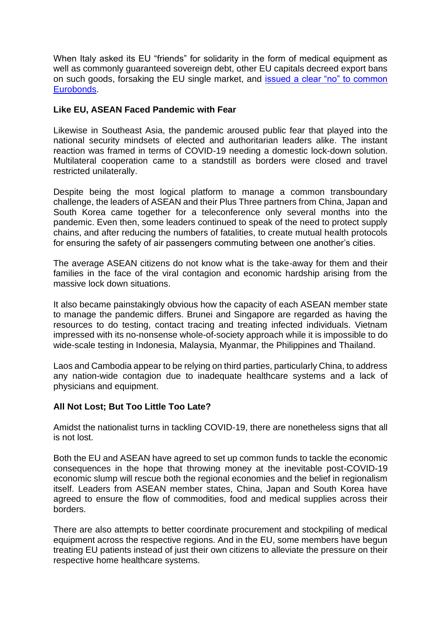When Italy asked its EU "friends" for solidarity in the form of medical equipment as well as commonly guaranteed sovereign debt, other EU capitals decreed export bans on such goods, forsaking the EU single market, and [issued a clear "no" to common](https://www.rsis.edu.sg/rsis-publication/cms/global-health-security-coronabonds-backdoor-to-collective-debt/#.Xp_LVy17HUI)  [Eurobonds.](https://www.rsis.edu.sg/rsis-publication/cms/global-health-security-coronabonds-backdoor-to-collective-debt/#.Xp_LVy17HUI)

### **Like EU, ASEAN Faced Pandemic with Fear**

Likewise in Southeast Asia, the pandemic aroused public fear that played into the national security mindsets of elected and authoritarian leaders alike. The instant reaction was framed in terms of COVID-19 needing a domestic lock-down solution. Multilateral cooperation came to a standstill as borders were closed and travel restricted unilaterally.

Despite being the most logical platform to manage a common transboundary challenge, the leaders of ASEAN and their Plus Three partners from China, Japan and South Korea came together for a teleconference only several months into the pandemic. Even then, some leaders continued to speak of the need to protect supply chains, and after reducing the numbers of fatalities, to create mutual health protocols for ensuring the safety of air passengers commuting between one another's cities.

The average ASEAN citizens do not know what is the take-away for them and their families in the face of the viral contagion and economic hardship arising from the massive lock down situations.

It also became painstakingly obvious how the capacity of each ASEAN member state to manage the pandemic differs. Brunei and Singapore are regarded as having the resources to do testing, contact tracing and treating infected individuals. Vietnam impressed with its no-nonsense whole-of-society approach while it is impossible to do wide-scale testing in Indonesia, Malaysia, Myanmar, the Philippines and Thailand.

Laos and Cambodia appear to be relying on third parties, particularly China, to address any nation-wide contagion due to inadequate healthcare systems and a lack of physicians and equipment.

#### **All Not Lost; But Too Little Too Late?**

Amidst the nationalist turns in tackling COVID-19, there are nonetheless signs that all is not lost.

Both the EU and ASEAN have agreed to set up common funds to tackle the economic consequences in the hope that throwing money at the inevitable post-COVID-19 economic slump will rescue both the regional economies and the belief in regionalism itself. Leaders from ASEAN member states, China, Japan and South Korea have agreed to ensure the flow of commodities, food and medical supplies across their borders.

There are also attempts to better coordinate procurement and stockpiling of medical equipment across the respective regions. And in the EU, some members have begun treating EU patients instead of just their own citizens to alleviate the pressure on their respective home healthcare systems.